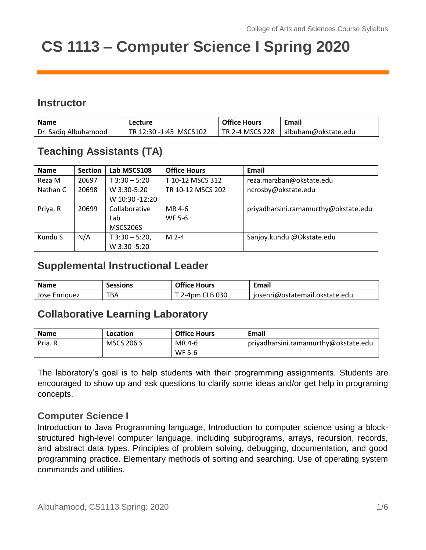# **CS 1113 – Computer Science I Spring 2020**

## **Instructor**

| <b>Name</b>          | Lecture                | <b>Office Hours</b> | Email                                 |
|----------------------|------------------------|---------------------|---------------------------------------|
| Dr. Sadig Albuhamood | TR 12:30 -1:45 MSCS102 |                     | TR 2-4 MSCS 228   albuham@okstate.edu |

## **Teaching Assistants (TA)**

| <b>Name</b> | <b>Section</b> | Lab MSCS108      | <b>Office Hours</b> | Email                                |
|-------------|----------------|------------------|---------------------|--------------------------------------|
| Reza M      | 20697          | $T$ 3:30 - 5:20  | T 10-12 MSCS 312    | reza.marzban@okstate.edu             |
| Nathan C    | 20698          | W 3:30-5:20      | TR 10-12 MSCS 202   | ncrosby@okstate.edu                  |
|             |                | W 10:30 -12:20   |                     |                                      |
| Priya. R    | 20699          | Collaborative    | MR 4-6              | priyadharsini.ramamurthy@okstate.edu |
|             |                | Lab              | <b>WF 5-6</b>       |                                      |
|             |                | MSCS206S         |                     |                                      |
| Kundu S     | N/A            | $T$ 3:30 - 5:20, | $M2-4$              | Sanjoy.kundu @Okstate.edu            |
|             |                | W 3:30 -5:20     |                     |                                      |

## **Supplemental Instructional Leader**

| <b>Name</b>   | <b>Sessions</b> | <b>Office Hours</b> | Email                          |
|---------------|-----------------|---------------------|--------------------------------|
| Jose Enriguez | тва             | 2-4pm CLB 030       | josenri@ostatemail.okstate.edu |

## **Collaborative Learning Laboratory**

| <b>Name</b> | Location          | <b>Office Hours</b> | Email                                |
|-------------|-------------------|---------------------|--------------------------------------|
| Pria. R     | <b>MSCS 206 S</b> | MR 4-6              | priyadharsini.ramamurthy@okstate.edu |
|             |                   | WF 5-6              |                                      |

The laboratory's goal is to help students with their programming assignments. Students are encouraged to show up and ask questions to clarify some ideas and/or get help in programing concepts.

#### **Computer Science I**

Introduction to Java Programming language, Introduction to computer science using a blockstructured high-level computer language, including subprograms, arrays, recursion, records, and abstract data types. Principles of problem solving, debugging, documentation, and good programming practice. Elementary methods of sorting and searching. Use of operating system commands and utilities.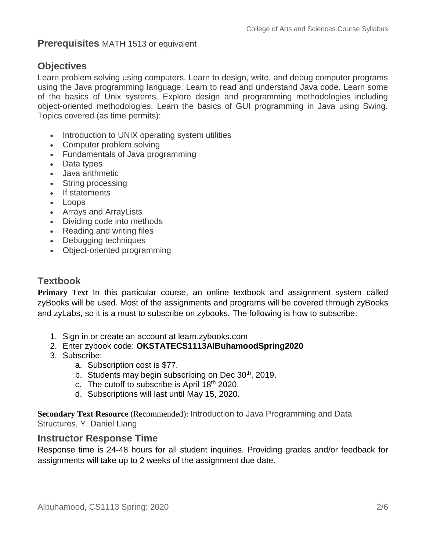#### **Prerequisites** MATH 1513 or equivalent

## **Objectives**

Learn problem solving using computers. Learn to design, write, and debug computer programs using the Java programming language. Learn to read and understand Java code. Learn some of the basics of Unix systems. Explore design and programming methodologies including object-oriented methodologies. Learn the basics of GUI programming in Java using Swing. Topics covered (as time permits):

- Introduction to UNIX operating system utilities
- Computer problem solving
- Fundamentals of Java programming
- Data types
- Java arithmetic
- String processing
- If statements
- Loops
- Arrays and ArrayLists
- Dividing code into methods
- Reading and writing files
- Debugging techniques
- Object-oriented programming

## **Textbook**

**Primary Text** In this particular course, an online textbook and assignment system called zyBooks will be used. Most of the assignments and programs will be covered through zyBooks and zyLabs, so it is a must to subscribe on zybooks. The following is how to subscribe:

- 1. Sign in or create an account at learn.zybooks.com
- 2. Enter zybook code: **OKSTATECS1113AlBuhamoodSpring2020**
- 3. Subscribe:
	- a. Subscription cost is \$77.
		- b. Students may begin subscribing on Dec  $30<sup>th</sup>$ , 2019.
		- c. The cutoff to subscribe is April 18<sup>th</sup> 2020.
		- d. Subscriptions will last until May 15, 2020.

**Secondary Text Resource** (Recommended): Introduction to Java Programming and Data Structures, Y. Daniel Liang

#### **Instructor Response Time**

Response time is 24-48 hours for all student inquiries. Providing grades and/or feedback for assignments will take up to 2 weeks of the assignment due date.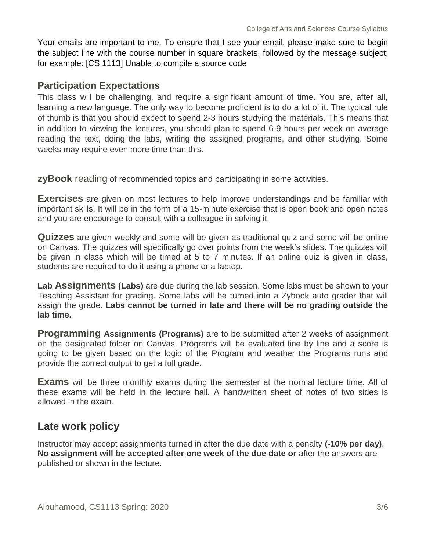Your emails are important to me. To ensure that I see your email, please make sure to begin the subject line with the course number in square brackets, followed by the message subject; for example: [CS 1113] Unable to compile a source code

#### **Participation Expectations**

This class will be challenging, and require a significant amount of time. You are, after all, learning a new language. The only way to become proficient is to do a lot of it. The typical rule of thumb is that you should expect to spend 2-3 hours studying the materials. This means that in addition to viewing the lectures, you should plan to spend 6-9 hours per week on average reading the text, doing the labs, writing the assigned programs, and other studying. Some weeks may require even more time than this.

**zyBook** reading of recommended topics and participating in some activities.

**Exercises** are given on most lectures to help improve understandings and be familiar with important skills. It will be in the form of a 15-minute exercise that is open book and open notes and you are encourage to consult with a colleague in solving it.

**Quizzes** are given weekly and some will be given as traditional quiz and some will be online on Canvas. The quizzes will specifically go over points from the week's slides. The quizzes will be given in class which will be timed at 5 to 7 minutes. If an online quiz is given in class, students are required to do it using a phone or a laptop.

**Lab Assignments (Labs)** are due during the lab session. Some labs must be shown to your Teaching Assistant for grading. Some labs will be turned into a Zybook auto grader that will assign the grade. **Labs cannot be turned in late and there will be no grading outside the lab time.**

**Programming Assignments (Programs)** are to be submitted after 2 weeks of assignment on the designated folder on Canvas. Programs will be evaluated line by line and a score is going to be given based on the logic of the Program and weather the Programs runs and provide the correct output to get a full grade.

**Exams** will be three monthly exams during the semester at the normal lecture time. All of these exams will be held in the lecture hall. A handwritten sheet of notes of two sides is allowed in the exam.

## **Late work policy**

Instructor may accept assignments turned in after the due date with a penalty **(-10% per day)**. **No assignment will be accepted after one week of the due date or** after the answers are published or shown in the lecture.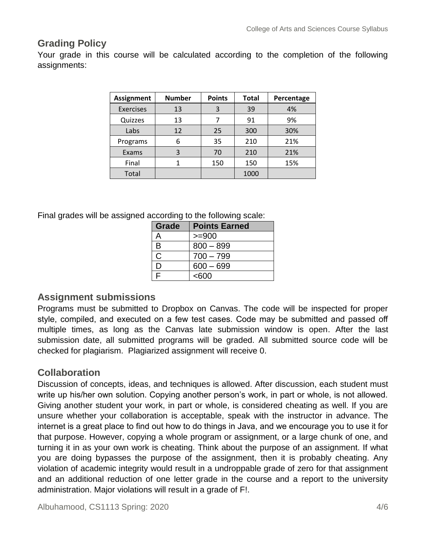## **Grading Policy**

Your grade in this course will be calculated according to the completion of the following assignments:

| <b>Assignment</b> | <b>Number</b> | <b>Points</b> | <b>Total</b> | Percentage |
|-------------------|---------------|---------------|--------------|------------|
| <b>Exercises</b>  | 13            | 3             | 39           | 4%         |
| Quizzes           | 13            | 7             | 91           | 9%         |
| Labs              | 12            | 25            | 300          | 30%        |
| Programs          | 6             | 35            | 210          | 21%        |
| Exams             | 3             | 70            | 210          | 21%        |
| Final             |               | 150           | 150          | 15%        |
| Total             |               |               | 1000         |            |

Final grades will be assigned according to the following scale:

| Grade | <b>Points Earned</b> |
|-------|----------------------|
| А     | $>= 900$             |
| B     | $800 - 899$          |
| С     | $700 - 799$          |
| וו    | $600 - 699$          |
| ⊏     | <600                 |

#### **Assignment submissions**

Programs must be submitted to Dropbox on Canvas. The code will be inspected for proper style, compiled, and executed on a few test cases. Code may be submitted and passed off multiple times, as long as the Canvas late submission window is open. After the last submission date, all submitted programs will be graded. All submitted source code will be checked for plagiarism. Plagiarized assignment will receive 0.

#### **Collaboration**

Discussion of concepts, ideas, and techniques is allowed. After discussion, each student must write up his/her own solution. Copying another person's work, in part or whole, is not allowed. Giving another student your work, in part or whole, is considered cheating as well. If you are unsure whether your collaboration is acceptable, speak with the instructor in advance. The internet is a great place to find out how to do things in Java, and we encourage you to use it for that purpose. However, copying a whole program or assignment, or a large chunk of one, and turning it in as your own work is cheating. Think about the purpose of an assignment. If what you are doing bypasses the purpose of the assignment, then it is probably cheating. Any violation of academic integrity would result in a undroppable grade of zero for that assignment and an additional reduction of one letter grade in the course and a report to the university administration. Major violations will result in a grade of F!.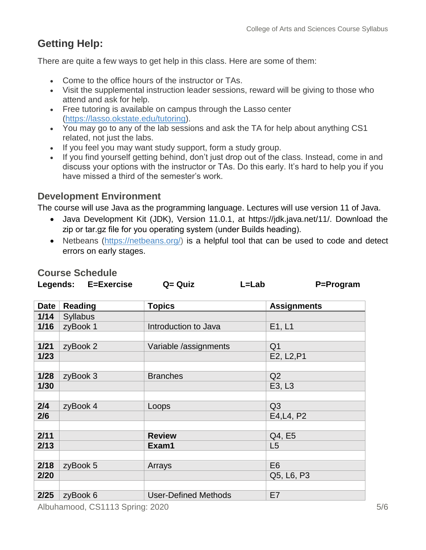# **Getting Help:**

There are quite a few ways to get help in this class. Here are some of them:

- Come to the office hours of the instructor or TAs.
- Visit the supplemental instruction leader sessions, reward will be giving to those who attend and ask for help.
- Free tutoring is available on campus through the Lasso center [\(https://lasso.okstate.edu/tutoring\)](https://lasso.okstate.edu/tutoring).
- You may go to any of the lab sessions and ask the TA for help about anything CS1 related, not just the labs.
- If you feel you may want study support, form a study group.
- If you find yourself getting behind, don't just drop out of the class. Instead, come in and discuss your options with the instructor or TAs. Do this early. It's hard to help you if you have missed a third of the semester's work.

#### **Development Environment**

**Course Schedule**

The course will use Java as the programming language. Lectures will use version 11 of Java.

- Java Development Kit (JDK), Version 11.0.1, at https://jdk.java.net/11/. Download the zip or tar.gz file for you operating system (under Builds heading).
- Netbeans [\(https://netbeans.org/\)](https://netbeans.org/) is a helpful tool that can be used to code and detect errors on early stages.

|             | Legends: E=Exercise | $Q = Q$ uiz<br>$L = Lab$    | P=Program               |  |
|-------------|---------------------|-----------------------------|-------------------------|--|
| <b>Date</b> | <b>Reading</b>      | <b>Topics</b>               | <b>Assignments</b>      |  |
| 1/14        | <b>Syllabus</b>     |                             |                         |  |
| 1/16        | zyBook 1            | Introduction to Java        | E1, L1                  |  |
|             |                     |                             |                         |  |
| $1/21$      | zyBook 2            | Variable /assignments       | Q <sub>1</sub>          |  |
| $1/23$      |                     |                             | E2, L <sub>2</sub> , P1 |  |
|             |                     |                             |                         |  |
| 1/28        | zyBook 3            | <b>Branches</b>             | Q2                      |  |
| 1/30        |                     |                             | E3, L3                  |  |
|             |                     |                             |                         |  |
| 2/4         | zyBook 4            | Loops                       | Q <sub>3</sub>          |  |
| 2/6         |                     |                             | E4, L4, P2              |  |
|             |                     |                             |                         |  |
| 2/11        |                     | <b>Review</b>               | Q4, E5                  |  |
| 2/13        |                     | Exam1                       | L5                      |  |
|             |                     |                             |                         |  |
| 2/18        | zyBook 5            | Arrays                      | E <sub>6</sub>          |  |
| 2/20        |                     |                             | Q5, L6, P3              |  |
|             |                     |                             |                         |  |
| 2/25        | zyBook 6            | <b>User-Defined Methods</b> | E7                      |  |